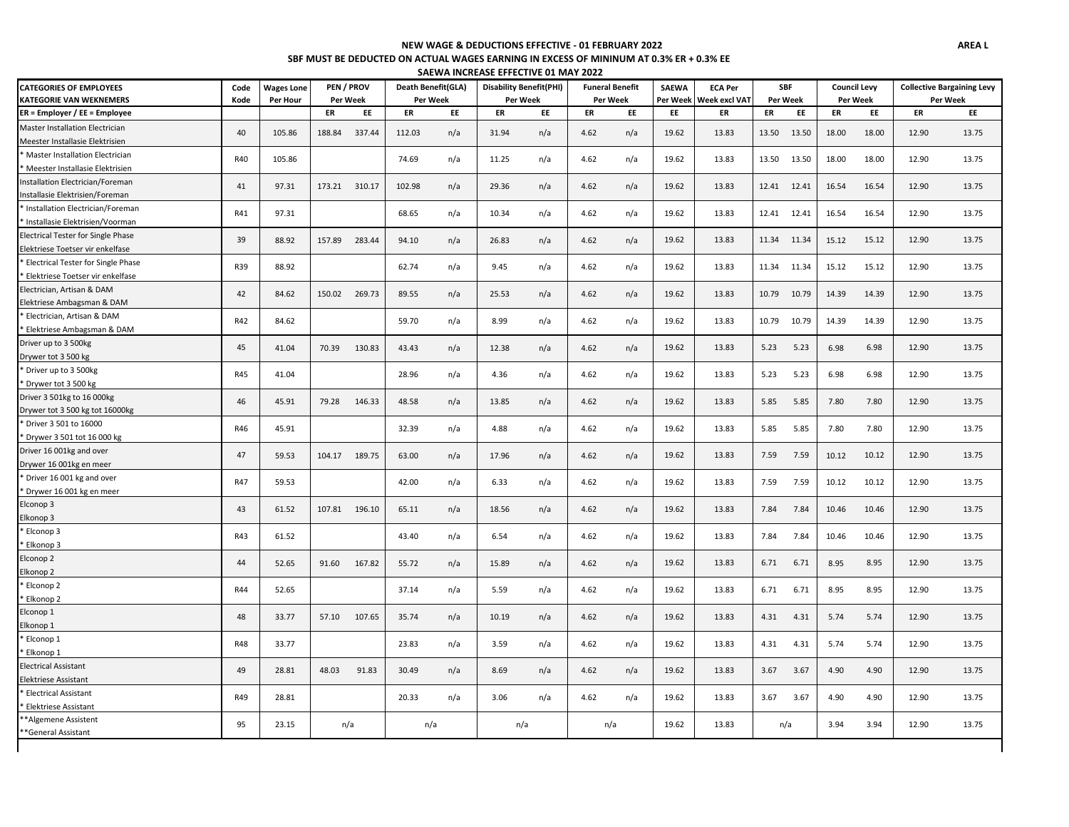## **SBF MUST BE DEDUCTED ON ACTUAL WAGES EARNING IN EXCESS OF MININUM AT 0.3% ER + 0.3% EE SAEWA INCREASE EFFECTIVE 01 MAY 2022 NEW WAGE & DEDUCTIONS EFFECTIVE - 01 FEBRUARY 2022**

| <b>CATEGORIES OF EMPLOYEES</b>            | Code       | <b>Wages Lone</b> | PEN / PROV    |               | Death Benefit(GLA) |          | <b>Disability Benefit(PHI)</b> |     |          | <b>Funeral Benefit</b> | <b>SAEWA</b> | <b>ECA Per</b> |          | <b>SBF</b>  | <b>Council Levy</b> |       |          | <b>Collective Bargaining Levy</b> |
|-------------------------------------------|------------|-------------------|---------------|---------------|--------------------|----------|--------------------------------|-----|----------|------------------------|--------------|----------------|----------|-------------|---------------------|-------|----------|-----------------------------------|
| <b>KATEGORIE VAN WEKNEMERS</b>            | Kode       | Per Hour          |               | Per Week      |                    | Per Week | Per Week                       |     | Per Week |                        | Per Week     | Week excl VAT  | Per Week |             | Per Week            |       | Per Week |                                   |
| $ER =$ Employer / EE = Employee           |            |                   | ER            | EE            | ER                 | EE       | ER                             | EE  | ER       | EE                     | EE           | ER             | ER       | EE          | ER                  | EE    | ER       | EE                                |
| Master Installation Electrician           | 40         | 105.86            | 188.84        |               | 112.03             |          | 31.94                          |     |          |                        | 19.62        | 13.83          | 13.50    | 13.50       | 18.00               | 18.00 | 12.90    | 13.75                             |
| Meester Installasie Elektrisien           |            |                   |               | 337.44        |                    | n/a      |                                | n/a | 4.62     | n/a                    |              |                |          |             |                     |       |          |                                   |
| * Master Installation Electrician         | R40        | 105.86            |               |               | 74.69              |          | 11.25                          |     | 4.62     |                        | 19.62        | 13.83          | 13.50    | 13.50       | 18.00               | 18.00 | 12.90    | 13.75                             |
| * Meester Installasie Elektrisien         |            |                   |               |               |                    | n/a      |                                | n/a |          | n/a                    |              |                |          |             |                     |       |          |                                   |
| Installation Electrician/Foreman          | 41         | 97.31             | 173.21 310.17 |               | 102.98             |          | 29.36                          |     | 4.62     |                        | 19.62        | 13.83          |          | 12.41 12.41 | 16.54               | 16.54 | 12.90    | 13.75                             |
| Installasie Elektrisien/Foreman           |            |                   |               |               |                    | n/a      |                                | n/a |          | n/a                    |              |                |          |             |                     |       |          |                                   |
| * Installation Electrician/Foreman        | R41        | 97.31             |               |               | 68.65              |          | 10.34                          |     | 4.62     |                        | 19.62        | 13.83          |          | 12.41 12.41 |                     | 16.54 | 12.90    | 13.75                             |
| Installasie Elektrisien/Voorman           |            |                   |               |               |                    | n/a      |                                | n/a |          | n/a                    |              |                |          |             | 16.54               |       |          |                                   |
| <b>Electrical Tester for Single Phase</b> | 39         | 88.92             |               |               |                    |          |                                |     |          |                        | 19.62        |                |          |             |                     | 15.12 | 12.90    |                                   |
| Elektriese Toetser vir enkelfase          |            |                   | 157.89 283.44 |               | 94.10              | n/a      | 26.83                          | n/a | 4.62     | n/a                    |              | 13.83          |          | 11.34 11.34 | 15.12               |       |          | 13.75                             |
| <b>Electrical Tester for Single Phase</b> | R39        |                   |               |               |                    |          |                                |     |          |                        |              |                |          |             |                     |       |          |                                   |
| Elektriese Toetser vir enkelfase          |            | 88.92             |               |               | 62.74              | n/a      | 9.45                           | n/a | 4.62     | n/a                    | 19.62        | 13.83          |          | 11.34 11.34 | 15.12               | 15.12 | 12.90    | 13.75                             |
| Electrician, Artisan & DAM                |            |                   |               |               |                    |          |                                |     |          |                        |              |                |          |             |                     |       |          |                                   |
| Elektriese Ambagsman & DAM                | 42         | 84.62             | 150.02 269.73 |               | 89.55              | n/a      | 25.53                          | n/a | 4.62     | n/a                    | 19.62        | 13.83          | 10.79    | 10.79       | 14.39               | 14.39 | 12.90    | 13.75                             |
| Electrician, Artisan & DAM                |            |                   |               |               |                    |          |                                |     |          |                        |              |                |          |             |                     |       |          |                                   |
| Elektriese Ambagsman & DAM                | R42        | 84.62             |               |               | 59.70              | n/a      | 8.99                           | n/a | 4.62     | n/a                    | 19.62        | 13.83          | 10.79    | 10.79       | 14.39               | 14.39 | 12.90    | 13.75                             |
| Driver up to 3 500kg                      |            |                   |               |               |                    |          |                                |     |          |                        |              |                |          |             |                     |       |          |                                   |
| Drywer tot 3 500 kg                       | 45         | 41.04             | 70.39         | 130.83        | 43.43              | n/a      | 12.38                          | n/a | 4.62     | n/a                    | 19.62        | 13.83          | 5.23     | 5.23        | 6.98                | 6.98  | 12.90    | 13.75                             |
| * Driver up to 3 500kg                    |            |                   |               |               |                    |          |                                |     |          |                        |              |                |          |             |                     |       |          |                                   |
| Drywer tot 3 500 kg                       | R45        | 41.04             |               |               | 28.96              | n/a      | 4.36                           | n/a | 4.62     | n/a                    | 19.62        | 13.83          | 5.23     | 5.23        | 6.98                | 6.98  | 12.90    | 13.75                             |
| Driver 3 501kg to 16 000kg                |            |                   |               |               |                    |          |                                |     |          |                        |              |                |          |             |                     |       |          |                                   |
| Drywer tot 3 500 kg tot 16000kg           | 46         | 45.91             | 79.28         | 146.33        | 48.58              | n/a      | 13.85                          | n/a | 4.62     | n/a                    | 19.62        | 13.83          | 5.85     | 5.85        | 7.80                | 7.80  | 12.90    | 13.75                             |
| * Driver 3 501 to 16000                   |            |                   |               |               |                    |          |                                |     |          |                        |              |                |          |             |                     |       |          |                                   |
| Drywer 3 501 tot 16 000 kg                | R46        | 45.91             |               |               | 32.39              | n/a      | 4.88                           | n/a | 4.62     | n/a                    | 19.62        | 13.83          | 5.85     | 5.85        | 7.80                | 7.80  | 12.90    | 13.75                             |
| Driver 16 001kg and over                  |            |                   |               |               |                    |          |                                |     |          |                        |              |                |          |             |                     |       |          |                                   |
| Drywer 16 001kg en meer                   | 47         | 59.53             |               | 104.17 189.75 | 63.00              | n/a      | 17.96                          | n/a | 4.62     | n/a                    | 19.62        | 13.83          | 7.59     | 7.59        | 10.12               | 10.12 | 12.90    | 13.75                             |
| * Driver 16 001 kg and over               |            |                   |               |               |                    |          |                                |     |          |                        |              |                |          |             |                     |       |          |                                   |
| * Drywer 16 001 kg en meer                | R47        | 59.53             |               |               | 42.00              | n/a      | 6.33                           | n/a | 4.62     | n/a                    | 19.62        | 13.83          | 7.59     | 7.59        | 10.12               | 10.12 | 12.90    | 13.75                             |
| Elconop 3                                 |            |                   |               |               |                    |          |                                |     |          |                        |              |                |          |             |                     |       |          |                                   |
| Elkonop 3                                 | 43         | 61.52             |               | 107.81 196.10 | 65.11              | n/a      | 18.56                          | n/a | 4.62     | n/a                    | 19.62        | 13.83          | 7.84     | 7.84        | 10.46               | 10.46 | 12.90    | 13.75                             |
| Elconop 3                                 |            |                   |               |               |                    |          |                                |     |          |                        |              |                |          |             |                     |       |          |                                   |
| Elkonop 3                                 | R43        | 61.52             |               |               | 43.40              | n/a      | 6.54                           | n/a | 4.62     | n/a                    | 19.62        | 13.83          | 7.84     | 7.84        | 10.46               | 10.46 | 12.90    | 13.75                             |
| Elconop 2                                 |            |                   |               |               |                    |          |                                |     |          |                        |              |                |          |             |                     |       |          |                                   |
| Elkonop <sub>2</sub>                      | 44         | 52.65             | 91.60         | 167.82        | 55.72              | n/a      | 15.89                          | n/a | 4.62     | n/a                    | 19.62        | 13.83          | 6.71     | 6.71        | 8.95                | 8.95  | 12.90    | 13.75                             |
| Elconop 2                                 |            |                   |               |               |                    |          |                                |     |          |                        |              |                |          |             |                     |       |          |                                   |
| Elkonop 2                                 | R44        | 52.65             |               |               | 37.14              | n/a      | 5.59                           | n/a | 4.62     | n/a                    | 19.62        | 13.83          | 6.71     | 6.71        | 8.95                | 8.95  | 12.90    | 13.75                             |
| Elconop 1                                 |            |                   |               |               |                    |          |                                |     |          |                        |              |                |          |             |                     |       |          |                                   |
| Elkonop 1                                 | 48         | 33.77             | 57.10         | 107.65        | 35.74              | n/a      | 10.19                          | n/a | 4.62     | n/a                    | 19.62        | 13.83          | 4.31     | 4.31        | 5.74                | 5.74  | 12.90    | 13.75                             |
| Elconop 1                                 |            |                   |               |               |                    |          |                                |     |          |                        |              |                |          |             |                     |       |          |                                   |
| Elkonop 1                                 | <b>R48</b> | 33.77             |               |               | 23.83              | n/a      | 3.59                           | n/a | 4.62     | n/a                    | 19.62        | 13.83          | 4.31     | 4.31        | 5.74                | 5.74  | 12.90    | 13.75                             |
| <b>Electrical Assistant</b>               |            |                   |               |               |                    |          |                                |     |          |                        |              |                |          |             |                     |       |          |                                   |
| <b>Elektriese Assistant</b>               | 49         | 28.81             | 48.03         | 91.83         | 30.49              | n/a      | 8.69                           | n/a | 4.62     | n/a                    | 19.62        | 13.83          | 3.67     | 3.67        | 4.90                | 4.90  | 12.90    | 13.75                             |
| <b>Electrical Assistant</b>               |            |                   |               |               |                    |          |                                |     |          |                        |              |                |          |             |                     |       |          |                                   |
| Elektriese Assistant                      | R49        | 28.81             |               |               | 20.33              | n/a      | 3.06                           | n/a | 4.62     | n/a                    | 19.62        | 13.83          | 3.67     | 3.67        | 4.90                | 4.90  | 12.90    | 13.75                             |
| ** Algemene Assistent                     |            |                   |               |               |                    |          |                                |     |          |                        |              |                |          |             |                     |       |          |                                   |
| **General Assistant                       | 95         | 23.15             | n/a           |               | n/a                |          | n/a                            |     |          | n/a                    | 19.62        | 13.83          |          | n/a         | 3.94                | 3.94  | 12.90    | 13.75                             |
|                                           |            |                   |               |               |                    |          |                                |     |          |                        |              |                |          |             |                     |       |          |                                   |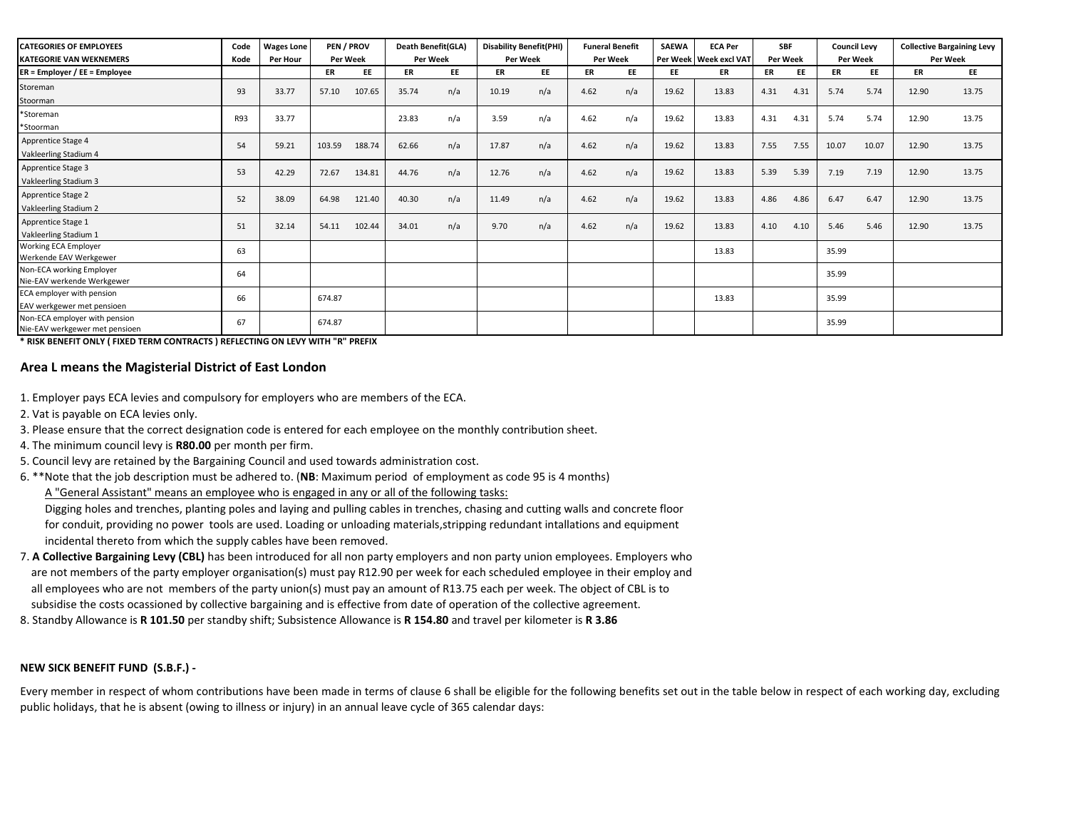| <b>CATEGORIES OF EMPLOYEES</b><br><b>KATEGORIE VAN WEKNEMERS</b> | Code<br>Kode | <b>Wages Lone</b><br><b>Per Hour</b> | PEN / PROV<br><b>Per Week</b> |        |       | <b>Death Benefit(GLA)</b><br>Per Week |       | <b>Disability Benefit(PHI)</b><br>Per Week |      | <b>Funeral Benefit</b><br>Per Week |       | <b>ECA Per</b><br>Per Week   Week excl VAT | <b>SBF</b><br>Per Week |      | <b>Council Levy</b><br><b>Per Week</b> |       | <b>Collective Bargaining Levy</b><br>Per Week |       |
|------------------------------------------------------------------|--------------|--------------------------------------|-------------------------------|--------|-------|---------------------------------------|-------|--------------------------------------------|------|------------------------------------|-------|--------------------------------------------|------------------------|------|----------------------------------------|-------|-----------------------------------------------|-------|
| ER = Employer / EE = Employee                                    |              |                                      | ER                            | EE     | ER    | EE                                    | ER    | EE                                         | ER   | EE                                 | EE    | ER                                         | <b>ER</b>              | EE   | ER                                     | EE    | ER                                            | EE    |
| Storeman<br>Stoorman                                             | 93           | 33.77                                | 57.10                         | 107.65 | 35.74 | n/a                                   | 10.19 | n/a                                        | 4.62 | n/a                                | 19.62 | 13.83                                      | 4.31                   | 4.31 | 5.74                                   | 5.74  | 12.90                                         | 13.75 |
| *Storeman<br>*Stoorman                                           | R93          | 33.77                                |                               |        | 23.83 | n/a                                   | 3.59  | n/a                                        | 4.62 | n/a                                | 19.62 | 13.83                                      | 4.31                   | 4.31 | 5.74                                   | 5.74  | 12.90                                         | 13.75 |
| Apprentice Stage 4<br>Vakleerling Stadium 4                      | 54           | 59.21                                | 103.59                        | 188.74 | 62.66 | n/a                                   | 17.87 | n/a                                        | 4.62 | n/a                                | 19.62 | 13.83                                      | 7.55                   | 7.55 | 10.07                                  | 10.07 | 12.90                                         | 13.75 |
| Apprentice Stage 3<br>Vakleerling Stadium 3                      | 53           | 42.29                                | 72.67                         | 134.81 | 44.76 | n/a                                   | 12.76 | n/a                                        | 4.62 | n/a                                | 19.62 | 13.83                                      | 5.39                   | 5.39 | 7.19                                   | 7.19  | 12.90                                         | 13.75 |
| Apprentice Stage 2<br>Vakleerling Stadium 2                      | 52           | 38.09                                | 64.98                         | 121.40 | 40.30 | n/a                                   | 11.49 | n/a                                        | 4.62 | n/a                                | 19.62 | 13.83                                      | 4.86                   | 4.86 | 6.47                                   | 6.47  | 12.90                                         | 13.75 |
| Apprentice Stage 1<br>Vakleerling Stadium 1                      | 51           | 32.14                                | 54.11                         | 102.44 | 34.01 | n/a                                   | 9.70  | n/a                                        | 4.62 | n/a                                | 19.62 | 13.83                                      | 4.10                   | 4.10 | 5.46                                   | 5.46  | 12.90                                         | 13.75 |
| Working ECA Employer<br>Werkende EAV Werkgewer                   | 63           |                                      |                               |        |       |                                       |       |                                            |      |                                    |       | 13.83                                      |                        |      | 35.99                                  |       |                                               |       |
| <b>Non-ECA working Employer</b><br>Nie-EAV werkende Werkgewer    | 64           |                                      |                               |        |       |                                       |       |                                            |      |                                    |       |                                            |                        |      | 35.99                                  |       |                                               |       |
| ECA employer with pension<br>EAV werkgewer met pensioen          | 66           |                                      | 674.87                        |        |       |                                       |       |                                            |      |                                    |       | 13.83                                      |                        |      | 35.99                                  |       |                                               |       |
| Non-ECA employer with pension<br>Nie-EAV werkgewer met pensioen  | 67           |                                      | 674.87                        |        |       |                                       |       |                                            |      |                                    |       |                                            |                        |      | 35.99                                  |       |                                               |       |

**\* RISK BENEFIT ONLY ( FIXED TERM CONTRACTS ) REFLECTING ON LEVY WITH "R" PREFIX** 

## **Area L means the Magisterial District of East London**

1. Employer pays ECA levies and compulsory for employers who are members of the ECA.

2. Vat is payable on ECA levies only.

3. Please ensure that the correct designation code is entered for each employee on the monthly contribution sheet.

- 4. The minimum council levy is **R80.00** per month per firm.
- 5. Council levy are retained by the Bargaining Council and used towards administration cost.

6. \*\*Note that the job description must be adhered to. (**NB**: Maximum period of employment as code 95 is 4 months)

A "General Assistant" means an employee who is engaged in any or all of the following tasks:

 Digging holes and trenches, planting poles and laying and pulling cables in trenches, chasing and cutting walls and concrete floor for conduit, providing no power tools are used. Loading or unloading materials,stripping redundant intallations and equipment incidental thereto from which the supply cables have been removed.

- are not members of the party employer organisation(s) must pay R12.90 per week for each scheduled employee in their employ and all employees who are not members of the party union(s) must pay an amount of R13.75 each per week. The object of CBL is to subsidise the costs ocassioned by collective bargaining and is effective from date of operation of the collective agreement. 7. **A Collective Bargaining Levy (CBL)** has been introduced for all non party employers and non party union employees. Employers who
- 8. Standby Allowance is **R 101.50** per standby shift; Subsistence Allowance is **R 154.80** and travel per kilometer is **R 3.86**

## **NEW SICK BENEFIT FUND (S.B.F.) -**

Every member in respect of whom contributions have been made in terms of clause 6 shall be eligible for the following benefits set out in the table below in respect of each working day, excluding public holidays, that he is absent (owing to illness or injury) in an annual leave cycle of 365 calendar days: